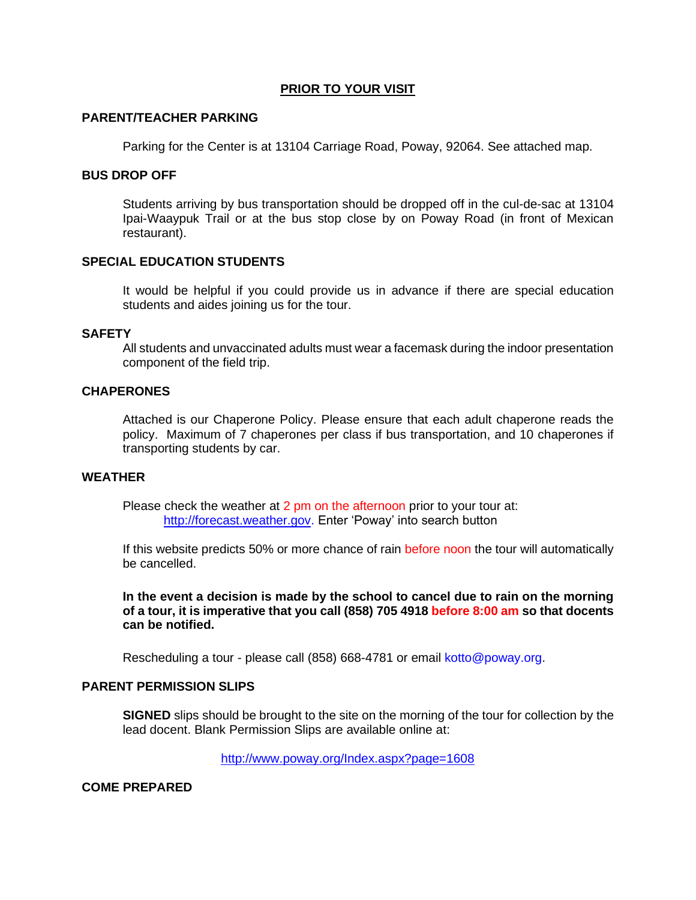## **PRIOR TO YOUR VISIT**

## **PARENT/TEACHER PARKING**

Parking for the Center is at 13104 Carriage Road, Poway, 92064. See attached map.

## **BUS DROP OFF**

Students arriving by bus transportation should be dropped off in the cul-de-sac at 13104 Ipai-Waaypuk Trail or at the bus stop close by on Poway Road (in front of Mexican restaurant).

### **SPECIAL EDUCATION STUDENTS**

It would be helpful if you could provide us in advance if there are special education students and aides joining us for the tour.

#### **SAFETY**

All students and unvaccinated adults must wear a facemask during the indoor presentation component of the field trip.

### **CHAPERONES**

Attached is our Chaperone Policy. Please ensure that each adult chaperone reads the policy. Maximum of 7 chaperones per class if bus transportation, and 10 chaperones if transporting students by car.

## **WEATHER**

Please check the weather at 2 pm on the afternoon prior to your tour at: [http://forecast.weather.gov.](http://forecast.weather.gov/) Enter 'Poway' into search button

If this website predicts 50% or more chance of rain before noon the tour will automatically be cancelled.

**In the event a decision is made by the school to cancel due to rain on the morning of a tour, it is imperative that you call (858) 705 4918 before 8:00 am so that docents can be notified.** 

Rescheduling a tour - please call (858) 668-4781 or email kotto@poway.org.

#### **PARENT PERMISSION SLIPS**

**SIGNED** slips should be brought to the site on the morning of the tour for collection by the lead docent. Blank Permission Slips are available online at:

<http://www.poway.org/Index.aspx?page=1608>

**COME PREPARED**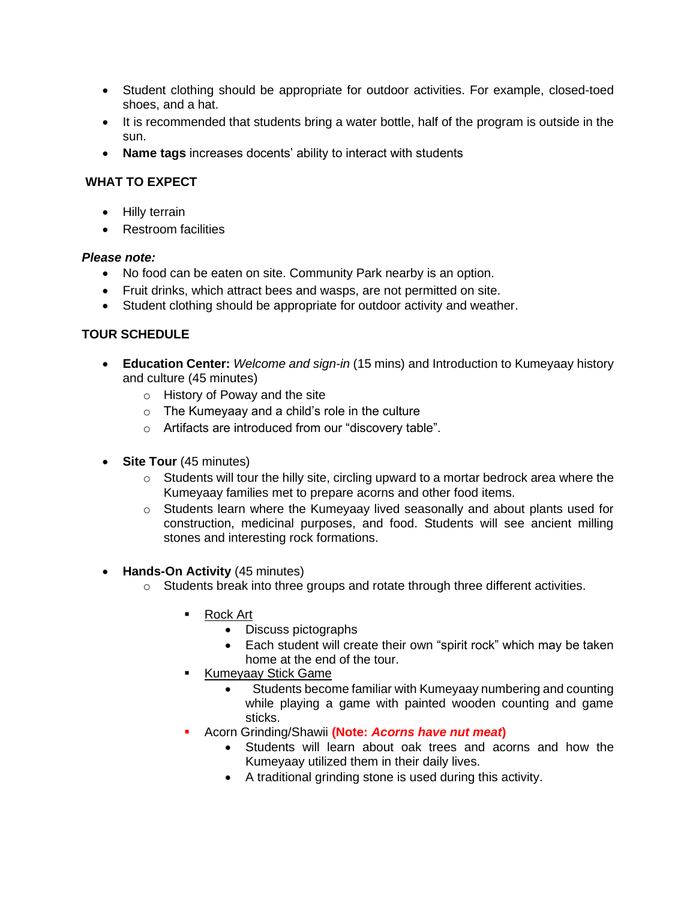- Student clothing should be appropriate for outdoor activities. For example, closed-toed shoes, and a hat.
- It is recommended that students bring a water bottle, half of the program is outside in the sun.
- **Name tags** increases docents' ability to interact with students

# **WHAT TO EXPECT**

- Hilly terrain
- Restroom facilities

## *Please note:*

- No food can be eaten on site. Community Park nearby is an option.
- Fruit drinks, which attract bees and wasps, are not permitted on site.
- Student clothing should be appropriate for outdoor activity and weather.

# **TOUR SCHEDULE**

- **Education Center:** *Welcome and sign-in* (15 mins) and Introduction to Kumeyaay history and culture (45 minutes)
	- o History of Poway and the site
	- o The Kumeyaay and a child's role in the culture
	- o Artifacts are introduced from our "discovery table".
- **Site Tour** (45 minutes)
	- $\circ$  Students will tour the hilly site, circling upward to a mortar bedrock area where the Kumeyaay families met to prepare acorns and other food items.
	- o Students learn where the Kumeyaay lived seasonally and about plants used for construction, medicinal purposes, and food. Students will see ancient milling stones and interesting rock formations.
- **Hands-On Activity** (45 minutes)
	- o Students break into three groups and rotate through three different activities.
		- **Rock Art** 
			- Discuss pictographs
			- Each student will create their own "spirit rock" which may be taken home at the end of the tour.
		- Kumeyaay Stick Game
			- Students become familiar with Kumeyaay numbering and counting while playing a game with painted wooden counting and game sticks.
		- Acorn Grinding/Shawii (Note: Acorns have nut meat)
			- Students will learn about oak trees and acorns and how the Kumeyaay utilized them in their daily lives.
			- A traditional grinding stone is used during this activity.